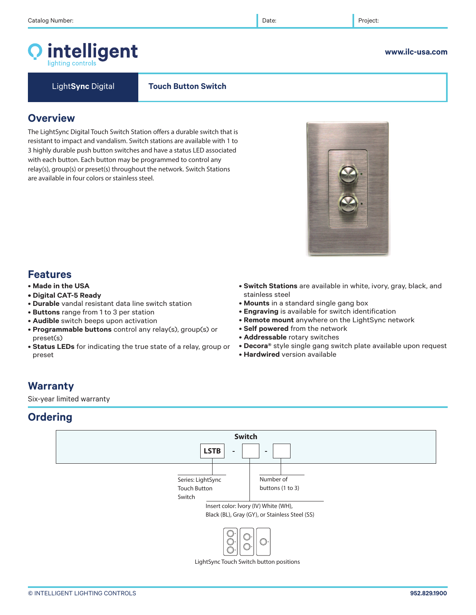# intelligent

Light**Sync** Digital **Touch Button Switch**

## **Overview**

The LightSync Digital Touch Switch Station offers a durable switch that is resistant to impact and vandalism. Switch stations are available with 1 to 3 highly durable push button switches and have a status LED associated with each button. Each button may be programmed to control any relay(s), group(s) or preset(s) throughout the network. Switch Stations are available in four colors or stainless steel.

# **Features**

- **Made in the USA**
- **Digital CAT-5 Ready**
- **Durable** vandal resistant data line switch station
- **Buttons** range from 1 to 3 per station
- **Audible** switch beeps upon activation
- **Programmable buttons** control any relay(s), group(s) or preset(s)
- **Status LEDs** for indicating the true state of a relay, group or preset
- **Switch Stations** are available in white, ivory, gray, black, and stainless steel
- **Mounts** in a standard single gang box
- **Engraving** is available for switch identification
- **Remote mount** anywhere on the LightSync network
- **Self powered** from the network
- **Addressable** rotary switches
- **Decora®** style single gang switch plate available upon request
- **Hardwired** version available

### **Warranty**

Six-year limited warranty

# **Ordering**